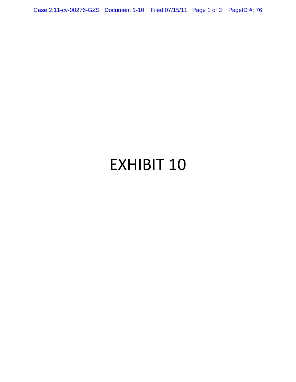Case 2:11-cv-00276-GZS Document 1-10 Filed 07/15/11 Page 1 of 3 PageID #: 76

## EXHIBIT 10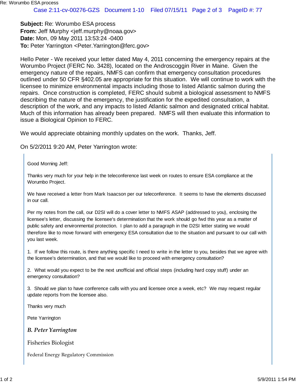**Subject:** Re: Worumbo ESA process **From:** Jeff Murphy <jeff.murphy@noaa.gov> **Date:** Mon, 09 May 2011 13:53:24 -0400 **To: Peter Yarrington <Peter.Yarrington@ferc.gov>** 

Hello Peter - We received your letter dated May 4, 2011 concerning the emergency repairs at the Worumbo Project (FERC No. 3428), located on the Androscoggin River in Maine. Given the emergency nature of the repairs, NMFS can confirm that emergency consultation procedures outlined under 50 CFR §402.05 are appropriate for this situation. We will continue to work with the licensee to minimize environmental impacts including those to listed Atlantic salmon during the repairs. Once construction is completed, FERC should submit a biological assessment to NMFS describing the nature of the emergency, the justification for the expedited consultation, a description of the work, and any impacts to listed Atlantic salmon and designated critical habitat. Much of this information has already been prepared. NMFS will then evaluate this information to issue a Biological Opinion to FERC.

We would appreciate obtaining monthly updates on the work. Thanks, Jeff.

On 5/2/2011 9:20 AM, Peter Yarrington wrote:

Good Morning Jeff:

Thanks very much for your help in the teleconference last week on routes to ensure ESA compliance at the Worumbo Project.

We have received a letter from Mark Isaacson per our teleconference. It seems to have the elements discussed in our call.

Per my notes from the call, our D2SI will do a cover letter to NMFS ASAP (addressed to you), enclosing the licensee's letter, discussing the licensee's determination that the work should go fwd this year as a matter of public safety and environmental protection. I plan to add a paragraph in the D2SI letter stating we would therefore like to move forward with emergency ESA consultation due to the situation and pursuant to our call with you last week.

1. If we follow this route, is there anything specific I need to write in the letter to you, besides that we agree with the licensee's determination, and that we would like to proceed with emergency consultation?

2. What would you expect to be the next unofficial and official steps (including hard copy stuff) under an emergency consultation?

3. Should we plan to have conference calls with you and licensee once a week, etc? We may request regular update reports from the licensee also.

Thanks very much

Pete Yarrington

*B. Peter Yarrington*

Fisheries Biologist

Federal Energy Regulatory Commission